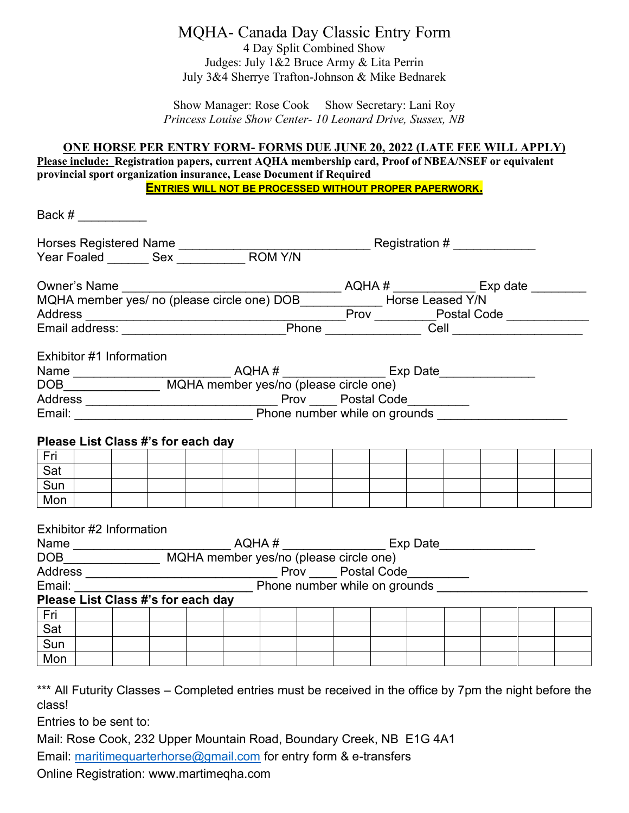## MQHA- Canada Day Classic Entry Form

4 Day Split Combined Show Judges: July 1&2 Bruce Army & Lita Perrin July 3&4 Sherrye Trafton-Johnson & Mike Bednarek

Show Manager: Rose Cook Show Secretary: Lani Roy *Princess Louise Show Center- 10 Leonard Drive, Sussex, NB* 

## **ONE HORSE PER ENTRY FORM- FORMS DUE JUNE 20, 2022 (LATE FEE WILL APPLY)**

**Please include: Registration papers, current AQHA membership card, Proof of NBEA/NSEF or equivalent provincial sport organization insurance, Lease Document if Required ENTRIES WILL NOT BE PROCESSED WITHOUT PROPER PAPERWORK.** 

Back  $\#$ Horses Registered Name \_\_\_\_\_\_\_\_\_\_\_\_\_\_\_\_\_\_\_\_\_\_\_\_\_\_\_\_ Registration # \_\_\_\_\_\_\_\_\_\_\_\_ Year Foaled \_\_\_\_\_\_\_\_ Sex \_\_\_\_\_\_\_\_\_\_\_\_\_\_ ROM Y/N Owner's Name \_\_\_\_\_\_\_\_\_\_\_\_\_\_\_\_\_\_\_\_\_\_\_\_\_\_\_\_\_\_\_\_ AQHA # \_\_\_\_\_\_\_\_\_\_\_\_ Exp date \_\_\_\_\_\_\_\_ MQHA member yes/ no (please circle one) DOB\_\_\_\_\_\_\_\_\_\_\_\_ Horse Leased Y/N Address \_\_\_\_\_\_\_\_\_\_\_\_\_\_\_\_\_\_\_\_\_\_\_\_\_\_\_\_\_\_\_\_\_\_\_\_\_\_Prov \_\_\_\_\_\_\_\_\_Postal Code \_\_\_\_\_\_\_\_\_\_\_\_ Email address: \_\_\_\_\_\_\_\_\_\_\_\_\_\_\_\_\_\_\_\_\_\_\_\_Phone \_\_\_\_\_\_\_\_\_\_\_\_\_\_ Cell \_\_\_\_\_\_\_\_\_\_\_\_\_\_\_\_\_\_\_ Exhibitor #1 Information Name \_\_\_\_\_\_\_\_\_\_\_\_\_\_\_\_\_\_\_\_\_\_\_\_\_\_\_\_\_\_\_\_\_\_\_AQHA # \_\_\_\_\_\_\_\_\_\_\_\_\_\_\_\_\_\_\_\_\_\_\_\_\_\_\_\_\_\_\_\_\_\_ DOB\_\_\_\_\_\_\_\_\_\_\_\_\_\_\_\_\_\_\_\_\_\_ MQHA member yes/no (please circle one) Address \_\_\_\_\_\_\_\_\_\_\_\_\_\_\_\_\_\_\_\_\_\_\_\_\_\_\_\_ Prov \_\_\_\_ Postal Code\_\_\_\_\_\_\_\_\_ Email: \_\_\_\_\_\_\_\_\_\_\_\_\_\_\_\_\_\_\_\_\_\_\_\_\_\_ Phone number while on grounds \_\_\_\_\_\_\_\_\_\_\_\_\_\_\_\_\_\_\_ **Please List Class #'s for each day**  Fri Sat Sun I Mon I Exhibitor #2 Information Name  $AQHA \#$  Exp Date DOB MQHA member yes/no (please circle one) Address \_\_\_\_\_\_\_\_\_\_\_\_\_\_\_\_\_\_\_\_\_\_\_\_\_\_\_\_ Prov \_\_\_\_ Postal Code\_\_\_\_\_\_\_\_\_ Email: \_\_\_\_\_\_\_\_\_\_\_\_\_\_\_\_\_\_\_\_\_\_\_\_\_\_ Phone number while on grounds \_\_\_\_\_\_\_\_\_\_\_\_\_\_\_\_\_\_\_\_\_\_ **Please List Class #'s for each day**  Fri Sat Sun Mon I

\*\*\* All Futurity Classes – Completed entries must be received in the office by 7pm the night before the class!

Entries to be sent to:

Mail: Rose Cook, 232 Upper Mountain Road, Boundary Creek, NB E1G 4A1

Email: maritimequarterhorse@gmail.com for entry form & e-transfers

Online Registration: www.martimeqha.com